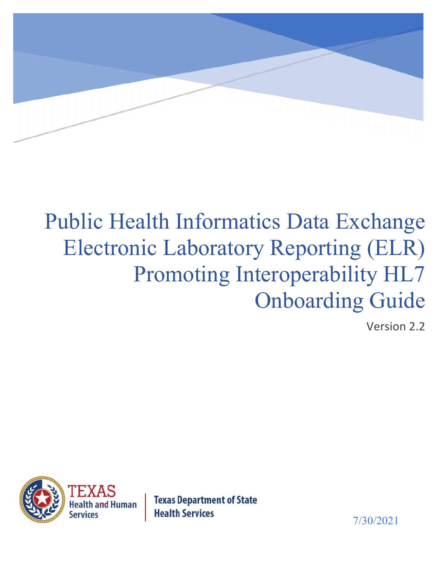

# Public Health Informatics Data Exchange Electronic Laboratory Reporting (ELR) Promoting Interoperability HL7 Onboarding Guide

Version 2.2



**Texas Department of State Health Services** 

7/30/2021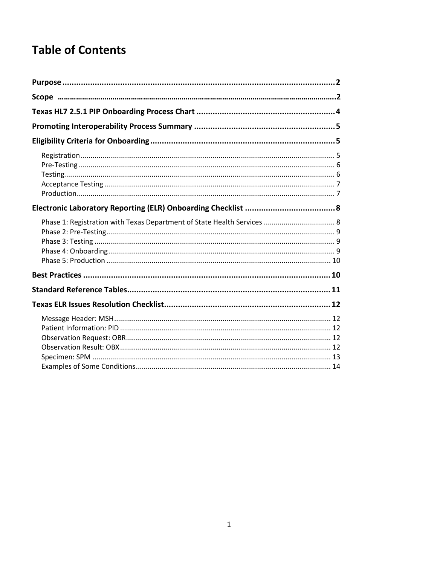## **Table of Contents**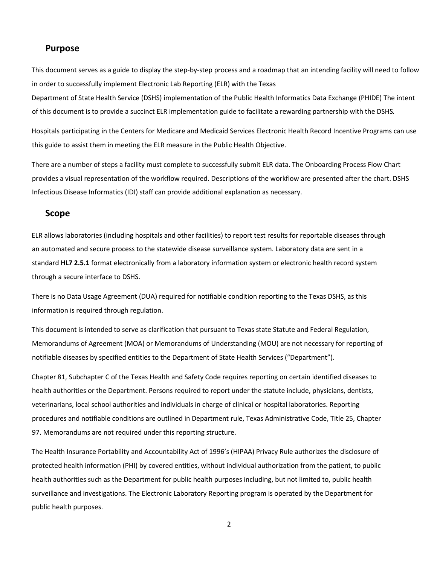#### <span id="page-2-0"></span>**Purpose**

This document serves as a guide to display the step-by-step process and a roadmap that an intending facility will need to follow in order to successfully implement Electronic Lab Reporting (ELR) with the Texas

Department of State Health Service (DSHS) implementation of the Public Health Informatics Data Exchange (PHIDE) The intent of this document is to provide a succinct ELR implementation guide to facilitate a rewarding partnership with the DSHS*.* 

Hospitals participating in the Centers for Medicare and Medicaid Services Electronic Health Record Incentive Programs can use this guide to assist them in meeting the ELR measure in the Public Health Objective.

There are a number of steps a facility must complete to successfully submit ELR data. The Onboarding Process Flow Chart provides a visual representation of the workflow required. Descriptions of the workflow are presented after the chart. DSHS Infectious Disease Informatics (IDI) staff can provide additional explanation as necessary.

#### <span id="page-2-1"></span>**Scope**

ELR allows laboratories (including hospitals and other facilities) to report test results for reportable diseases through an automated and secure process to the statewide disease surveillance system. Laboratory data are sent in a standard **HL7 2.5.1** format electronically from a laboratory information system or electronic health record system through a secure interface to DSHS.

There is no Data Usage Agreement (DUA) required for notifiable condition reporting to the Texas DSHS, as this information is required through regulation.

This document is intended to serve as clarification that pursuant to Texas state Statute and Federal Regulation, Memorandums of Agreement (MOA) or Memorandums of Understanding (MOU) are not necessary for reporting of notifiable diseases by specified entities to the Department of State Health Services ("Department").

Chapter 81, Subchapter C of the Texas Health and Safety Code requires reporting on certain identified diseases to health authorities or the Department. Persons required to report under the statute include, physicians, dentists, veterinarians, local school authorities and individuals in charge of clinical or hospital laboratories. Reporting procedures and notifiable conditions are outlined in Department rule, Texas Administrative Code, Title 25, Chapter 97. Memorandums are not required under this reporting structure.

The Health Insurance Portability and Accountability Act of 1996's (HIPAA) Privacy Rule authorizes the disclosure of protected health information (PHI) by covered entities, without individual authorization from the patient, to public health authorities such as the Department for public health purposes including, but not limited to, public health surveillance and investigations. The Electronic Laboratory Reporting program is operated by the Department for public health purposes.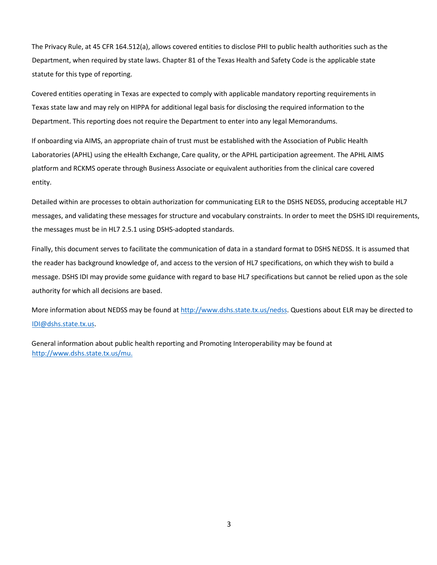The Privacy Rule, at 45 CFR 164.512(a), allows covered entities to disclose PHI to public health authorities such as the Department, when required by state laws. Chapter 81 of the Texas Health and Safety Code is the applicable state statute for this type of reporting.

Covered entities operating in Texas are expected to comply with applicable mandatory reporting requirements in Texas state law and may rely on HIPPA for additional legal basis for disclosing the required information to the Department. This reporting does not require the Department to enter into any legal Memorandums.

If onboarding via AIMS, an appropriate chain of trust must be established with the Association of Public Health Laboratories (APHL) using the eHealth Exchange, Care quality, or the APHL participation agreement. The APHL AIMS platform and RCKMS operate through Business Associate or equivalent authorities from the clinical care covered entity.

Detailed within are processes to obtain authorization for communicating ELR to the DSHS NEDSS, producing acceptable HL7 messages, and validating these messages for structure and vocabulary constraints. In order to meet the DSHS IDI requirements, the messages must be in HL7 2.5.1 using DSHS-adopted standards.

Finally, this document serves to facilitate the communication of data in a standard format to DSHS NEDSS. It is assumed that the reader has background knowledge of, and access to the version of HL7 specifications, on which they wish to build a message. DSHS IDI may provide some guidance with regard to base HL7 specifications but cannot be relied upon as the sole authority for which all decisions are based.

More information about NEDSS may be found at [http://www.dshs.state.tx.us/nedss.](http://www.dshs.state.tx.us/nedss) Questions about ELR may be directed to IDI@dshs.state.tx.us.

General information about public health reporting and Promoting Interoperability may be found at [http://www.dshs.state.tx.us/mu.](http://www.dshs.state.tx.us/mu)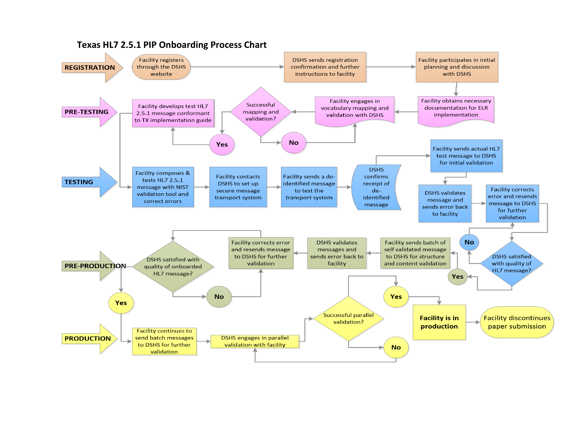<span id="page-4-0"></span>

#### **Texas HL7 2.5.1 PIP Onboarding Process Chart**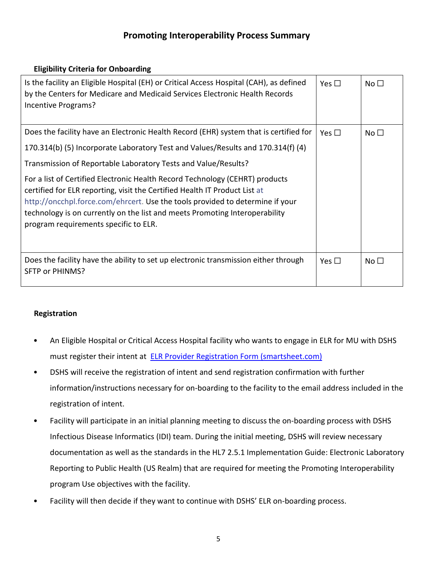## **Promoting Interoperability Process Summary**

## <span id="page-5-0"></span>**Eligibility Criteria for Onboarding**

<span id="page-5-1"></span>

| Is the facility an Eligible Hospital (EH) or Critical Access Hospital (CAH), as defined<br>by the Centers for Medicare and Medicaid Services Electronic Health Records<br>Incentive Programs?                                                                                                                                                                       | Yes $\square$ | No $\Box$       |
|---------------------------------------------------------------------------------------------------------------------------------------------------------------------------------------------------------------------------------------------------------------------------------------------------------------------------------------------------------------------|---------------|-----------------|
| Does the facility have an Electronic Health Record (EHR) system that is certified for                                                                                                                                                                                                                                                                               | Yes $\square$ | No $\Box$       |
| 170.314(b) (5) Incorporate Laboratory Test and Values/Results and 170.314(f) (4)                                                                                                                                                                                                                                                                                    |               |                 |
| Transmission of Reportable Laboratory Tests and Value/Results?                                                                                                                                                                                                                                                                                                      |               |                 |
| For a list of Certified Electronic Health Record Technology (CEHRT) products<br>certified for ELR reporting, visit the Certified Health IT Product List at<br>http://oncchpl.force.com/ehrcert. Use the tools provided to determine if your<br>technology is on currently on the list and meets Promoting Interoperability<br>program requirements specific to ELR. |               |                 |
| Does the facility have the ability to set up electronic transmission either through<br>SFTP or PHINMS?                                                                                                                                                                                                                                                              | Yes $\square$ | No <sub>1</sub> |

## <span id="page-5-2"></span>**Registration**

- An Eligible Hospital or Critical Access Hospital facility who wants to engage in ELR for MU with DSHS must register their intent at [ELR Provider Registration Form \(smartsheet.com\)](https://app.smartsheet.com/b/form/673321856451419f923ca6299f95b413)
- DSHS will receive the registration of intent and send registration confirmation with further information/instructions necessary for on-boarding to the facility to the email address included in the registration of intent.
- Facility will participate in an initial planning meeting to discuss the on-boarding process with DSHS Infectious Disease Informatics (IDI) team. During the initial meeting, DSHS will review necessary documentation as well as the standards in the HL7 2.5.1 Implementation Guide: Electronic Laboratory Reporting to Public Health (US Realm) that are required for meeting the Promoting Interoperability program Use objectives with the facility.
- Facility will then decide if they want to continue with DSHS' ELR on-boarding process.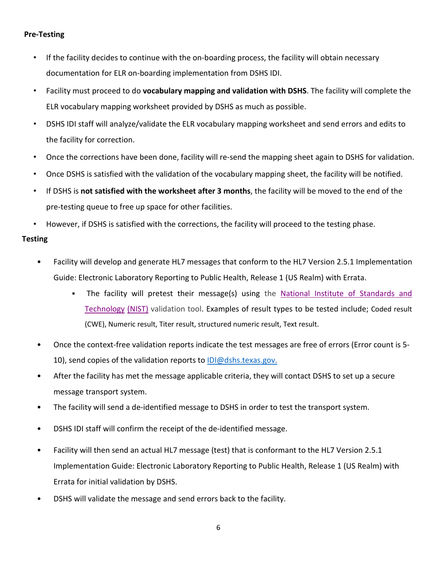#### <span id="page-6-0"></span>**Pre-Testing**

- If the facility decides to continue with the on-boarding process, the facility will obtain necessary documentation for ELR on-boarding implementation from DSHS IDI.
- Facility must proceed to do **vocabulary mapping and validation with DSHS**. The facility will complete the ELR vocabulary mapping worksheet provided by DSHS as much as possible.
- DSHS IDI staff will analyze/validate the ELR vocabulary mapping worksheet and send errors and edits to the facility for correction.
- Once the corrections have been done, facility will re-send the mapping sheet again to DSHS for validation.
- Once DSHS is satisfied with the validation of the vocabulary mapping sheet, the facility will be notified.
- If DSHS is **not satisfied with the worksheet after 3 months**, the facility will be moved to the end of the pre-testing queue to free up space for other facilities.
- However, if DSHS is satisfied with the corrections, the facility will proceed to the testing phase.

#### <span id="page-6-1"></span>**Testing**

- Facility will develop and generate HL7 messages that conform to the HL7 Version 2.5.1 Implementation Guide: Electronic Laboratory Reporting to Public Health, Release 1 (US Realm) with Errata.
	- The facility will pretest their message(s) using th[e](http://hl7v2-elr-testing.nist.gov/mu-elr/) [National](http://hl7v2-elr-testing.nist.gov/mu-elr/) [Institute](http://hl7v2-elr-testing.nist.gov/mu-elr/) [of](http://hl7v2-elr-testing.nist.gov/mu-elr/) [Standards](http://hl7v2-elr-testing.nist.gov/mu-elr/) [and](http://hl7v2-elr-testing.nist.gov/mu-elr/) [Technology](http://hl7v2-elr-testing.nist.gov/mu-elr/) [\(NIST\)](http://hl7v2-elr-testing.nist.gov/mu-elr/) validation tool. Examples of result types to be tested include; Coded result (CWE), Numeric result, Titer result, structured numeric result, Text result.
- Once the context-free validation reports indicate the test messages are free of errors (Error count is 5- 10), send copies of the validation reports to IDI@dshs.texas.gov.
- After the facility has met the message applicable criteria, they will contact DSHS to set up a secure message transport system.
- The facility will send a de-identified message to DSHS in order to test the transport system.
- DSHS IDI staff will confirm the receipt of the de-identified message.
- Facility will then send an actual HL7 message (test) that is conformant to the HL7 Version 2.5.1 Implementation Guide: Electronic Laboratory Reporting to Public Health, Release 1 (US Realm) with Errata for initial validation by DSHS.
- DSHS will validate the message and send errors back to the facility.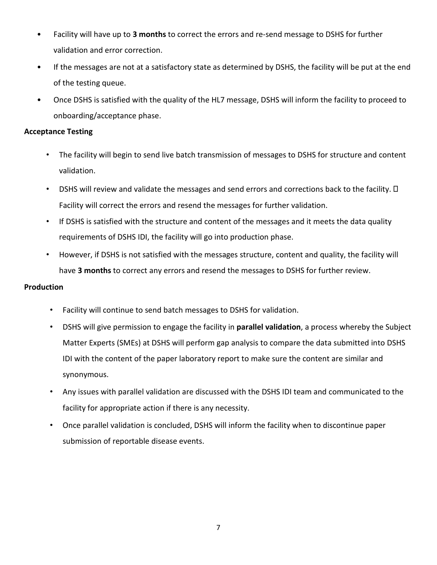- Facility will have up to **3 months** to correct the errors and re-send message to DSHS for further validation and error correction.
- If the messages are not at a satisfactory state as determined by DSHS, the facility will be put at the end of the testing queue.
- Once DSHS is satisfied with the quality of the HL7 message, DSHS will inform the facility to proceed to onboarding/acceptance phase.

#### <span id="page-7-0"></span>**Acceptance Testing**

- The facility will begin to send live batch transmission of messages to DSHS for structure and content validation.
- DSHS will review and validate the messages and send errors and corrections back to the facility.  $\Box$ Facility will correct the errors and resend the messages for further validation.
- If DSHS is satisfied with the structure and content of the messages and it meets the data quality requirements of DSHS IDI, the facility will go into production phase.
- However, if DSHS is not satisfied with the messages structure, content and quality, the facility will have **3 months** to correct any errors and resend the messages to DSHS for further review.

### <span id="page-7-1"></span>**Production**

- Facility will continue to send batch messages to DSHS for validation.
- DSHS will give permission to engage the facility in **parallel validation**, a process whereby the Subject Matter Experts (SMEs) at DSHS will perform gap analysis to compare the data submitted into DSHS IDI with the content of the paper laboratory report to make sure the content are similar and synonymous.
- Any issues with parallel validation are discussed with the DSHS IDI team and communicated to the facility for appropriate action if there is any necessity.
- Once parallel validation is concluded, DSHS will inform the facility when to discontinue paper submission of reportable disease events.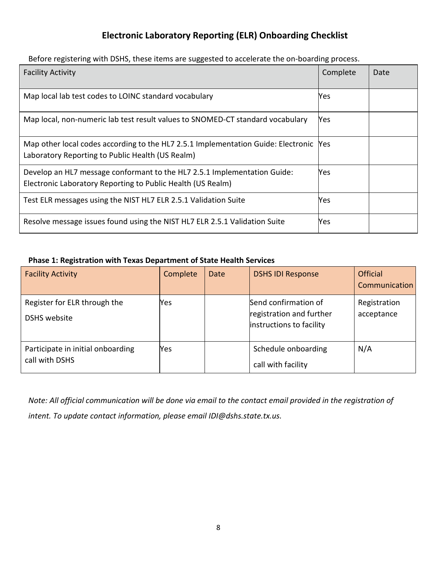## **Electronic Laboratory Reporting (ELR) Onboarding Checklist**

<span id="page-8-0"></span>Before registering with DSHS, these items are suggested to accelerate the on-boarding process.

| <b>Facility Activity</b>                                                                                                                  | Complete | Date |
|-------------------------------------------------------------------------------------------------------------------------------------------|----------|------|
| Map local lab test codes to LOINC standard vocabulary                                                                                     | Yes      |      |
| Map local, non-numeric lab test result values to SNOMED-CT standard vocabulary                                                            | Yes      |      |
| Map other local codes according to the HL7 2.5.1 Implementation Guide: Electronic Yes<br>Laboratory Reporting to Public Health (US Realm) |          |      |
| Develop an HL7 message conformant to the HL7 2.5.1 Implementation Guide:<br>Electronic Laboratory Reporting to Public Health (US Realm)   | Yes      |      |
| Test ELR messages using the NIST HL7 ELR 2.5.1 Validation Suite                                                                           | Yes      |      |
| Resolve message issues found using the NIST HL7 ELR 2.5.1 Validation Suite                                                                | Yes      |      |

## <span id="page-8-1"></span>**Phase 1: Registration with Texas Department of State Health Services**

| <b>Facility Activity</b>                            | Complete | Date | <b>DSHS IDI Response</b>                                                     | <b>Official</b><br>Communication |
|-----------------------------------------------------|----------|------|------------------------------------------------------------------------------|----------------------------------|
| Register for ELR through the<br>DSHS website        | Yes.     |      | Send confirmation of<br>registration and further<br>instructions to facility | Registration<br>acceptance       |
| Participate in initial onboarding<br>call with DSHS | Yes.     |      | Schedule onboarding<br>call with facility                                    | N/A                              |

*Note: All official communication will be done via email to the contact email provided in the registration of intent. To update contact information, please email IDI@dshs.state.tx.us.*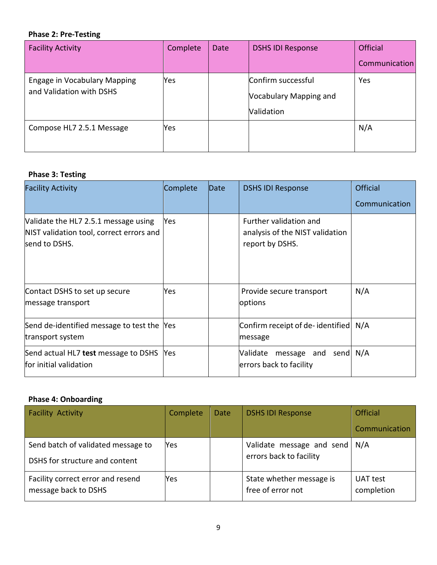## <span id="page-9-0"></span>**Phase 2: Pre-Testing**

| <b>Facility Activity</b>                                        | Complete | Date | <b>DSHS IDI Response</b>                                   | <b>Official</b> |
|-----------------------------------------------------------------|----------|------|------------------------------------------------------------|-----------------|
|                                                                 |          |      |                                                            | Communication   |
| <b>Engage in Vocabulary Mapping</b><br>and Validation with DSHS | Yes      |      | Confirm successful<br>Vocabulary Mapping and<br>Validation | Yes             |
| Compose HL7 2.5.1 Message                                       | Yes      |      |                                                            | N/A             |

## <span id="page-9-1"></span>**Phase 3: Testing**

| <b>Facility Activity</b>                                                                          | Complete   | Date | <b>DSHS IDI Response</b>                                                     | <b>Official</b> |
|---------------------------------------------------------------------------------------------------|------------|------|------------------------------------------------------------------------------|-----------------|
|                                                                                                   |            |      |                                                                              | Communication   |
| Validate the HL7 2.5.1 message using<br>NIST validation tool, correct errors and<br>send to DSHS. | Yes        |      | Further validation and<br>analysis of the NIST validation<br>report by DSHS. |                 |
| Contact DSHS to set up secure<br>message transport                                                | Yes.       |      | Provide secure transport<br>options                                          | N/A             |
| Send de-identified message to test the<br>transport system                                        | <b>Yes</b> |      | Confirm receipt of de-identified N/A<br>message                              |                 |
| Send actual HL7 test message to DSHS<br>for initial validation                                    | Yes        |      | message and send N/A<br>Validate<br>errors back to facility                  |                 |

## <span id="page-9-2"></span>**Phase 4: Onboarding**

| <b>Facility Activity</b>                                             | Complete | Date | <b>DSHS IDI Response</b>                                   | <b>Official</b>        |
|----------------------------------------------------------------------|----------|------|------------------------------------------------------------|------------------------|
|                                                                      |          |      |                                                            | Communication          |
| Send batch of validated message to<br>DSHS for structure and content | Yes      |      | Validate message and send   N/A<br>errors back to facility |                        |
| Facility correct error and resend<br>message back to DSHS            | Yes      |      | State whether message is<br>free of error not              | UAT test<br>completion |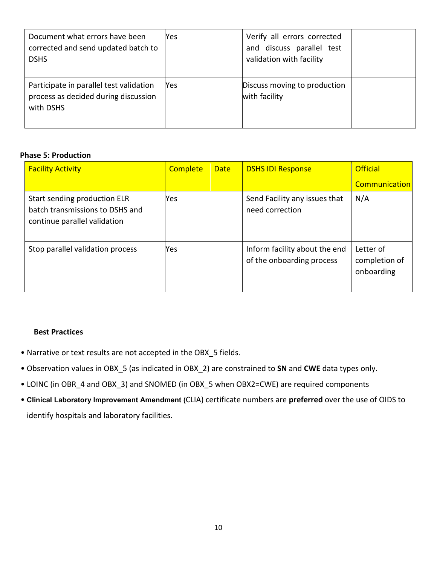| Document what errors have been<br>corrected and send updated batch to<br><b>DSHS</b>         | Yes | Verify all errors corrected<br>and discuss parallel test<br>validation with facility |  |
|----------------------------------------------------------------------------------------------|-----|--------------------------------------------------------------------------------------|--|
| Participate in parallel test validation<br>process as decided during discussion<br>with DSHS | Yes | Discuss moving to production<br>with facility                                        |  |

#### <span id="page-10-0"></span>**Phase 5: Production**

| <b>Facility Activity</b>                                                                        | <b>Complete</b> | <b>Date</b> | <b>DSHS IDI Response</b>                                   | <b>Official</b>                          |
|-------------------------------------------------------------------------------------------------|-----------------|-------------|------------------------------------------------------------|------------------------------------------|
|                                                                                                 |                 |             |                                                            | <b>Communication</b>                     |
| Start sending production ELR<br>batch transmissions to DSHS and<br>continue parallel validation | <b>Yes</b>      |             | Send Facility any issues that<br>need correction           | N/A                                      |
| Stop parallel validation process                                                                | Yes             |             | Inform facility about the end<br>of the onboarding process | Letter of<br>completion of<br>onboarding |

#### <span id="page-10-1"></span>**Best Practices**

- Narrative or text results are not accepted in the OBX\_5 fields.
- Observation values in OBX\_5 (as indicated in OBX\_2) are constrained to **SN** and **CWE** data types only.
- LOINC (in OBR\_4 and OBX\_3) and SNOMED (in OBX\_5 when OBX2=CWE) are required components
- **Clinical Laboratory Improvement Amendment (**CLIA) certificate numbers are **preferred** over the use of OIDS to identify hospitals and laboratory facilities.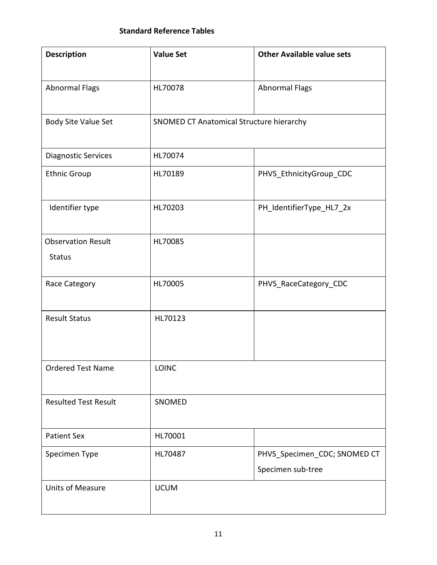## **Standard Reference Tables**

<span id="page-11-0"></span>

| <b>Description</b>          | <b>Value Set</b>                         | <b>Other Available value sets</b> |
|-----------------------------|------------------------------------------|-----------------------------------|
|                             |                                          |                                   |
| <b>Abnormal Flags</b>       | HL70078                                  | <b>Abnormal Flags</b>             |
| Body Site Value Set         | SNOMED CT Anatomical Structure hierarchy |                                   |
| <b>Diagnostic Services</b>  | HL70074                                  |                                   |
| <b>Ethnic Group</b>         | HL70189                                  | PHVS_EthnicityGroup_CDC           |
| Identifier type             | HL70203                                  | PH_IdentifierType_HL7_2x          |
| <b>Observation Result</b>   | HL70085                                  |                                   |
| <b>Status</b>               |                                          |                                   |
| Race Category               | HL70005                                  | PHVS_RaceCategory_CDC             |
| <b>Result Status</b>        | HL70123                                  |                                   |
| <b>Ordered Test Name</b>    | LOINC                                    |                                   |
| <b>Resulted Test Result</b> | SNOMED                                   |                                   |
| <b>Patient Sex</b>          | HL70001                                  |                                   |
| Specimen Type               | HL70487                                  | PHVS_Specimen_CDC; SNOMED CT      |
|                             |                                          | Specimen sub-tree                 |
| <b>Units of Measure</b>     | <b>UCUM</b>                              |                                   |
|                             |                                          |                                   |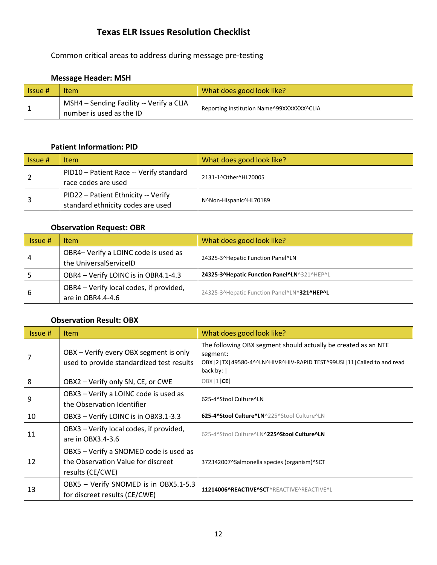## **Texas ELR Issues Resolution Checklist**

<span id="page-12-0"></span>Common critical areas to address during message pre-testing

#### <span id="page-12-1"></span>**Message Header: MSH**

| Llssue # | Item                                                                 | What does good look like?                 |
|----------|----------------------------------------------------------------------|-------------------------------------------|
|          | MSH4 - Sending Facility -- Verify a CLIA<br>number is used as the ID | Reporting Institution Name^99XXXXXXX^CLIA |

## <span id="page-12-2"></span>**Patient Information: PID**

| Issue # | <b>Item</b>                                                              | What does good look like? |
|---------|--------------------------------------------------------------------------|---------------------------|
|         | PID10 - Patient Race -- Verify standard<br>race codes are used           | 2131-1^Other^HL70005      |
|         | PID22 - Patient Ethnicity -- Verify<br>standard ethnicity codes are used | N^Non-Hispanic^HL70189    |

#### <span id="page-12-3"></span>**Observation Request: OBR**

| Is sue# | <b>Item</b>                                                    | What does good look like?                   |  |
|---------|----------------------------------------------------------------|---------------------------------------------|--|
| 4       | OBR4- Verify a LOINC code is used as<br>the UniversalServiceID | 24325-3^Hepatic Function Panel^LN           |  |
|         | OBR4 - Verify LOINC is in OBR4.1-4.3                           | 24325-3^Hepatic Function Panel^LN^321^HEP^L |  |
| 6       | OBR4 - Verify local codes, if provided,<br>are in OBR4.4-4.6   | 24325-3^Hepatic Function Panel^LN^321^HEP^L |  |

## <span id="page-12-4"></span>**Observation Result: OBX**

| Issue # | <b>Item</b>                                                                                      | What does good look like?                                                                                                                                                |
|---------|--------------------------------------------------------------------------------------------------|--------------------------------------------------------------------------------------------------------------------------------------------------------------------------|
|         | OBX - Verify every OBX segment is only<br>used to provide standardized test results              | The following OBX segment should actually be created as an NTE<br>segment:<br>OBX   2   TX   49580-4^^LN^HIVR^HIV-RAPID TEST^99USI   11   Called to and read<br>back by: |
| 8       | OBX2 - Verify only SN, CE, or CWE                                                                | OBX 1 CE                                                                                                                                                                 |
| 9       | OBX3 - Verify a LOINC code is used as<br>the Observation Identifier                              | 625-4^Stool Culture^LN                                                                                                                                                   |
| 10      | OBX3 - Verify LOINC is in OBX3.1-3.3                                                             | 625-4^Stool Culture^LN^225^Stool Culture^LN                                                                                                                              |
| 11      | OBX3 - Verify local codes, if provided,<br>are in OBX3.4-3.6                                     | 625-4^Stool Culture^LN^225^Stool Culture^LN                                                                                                                              |
| 12      | OBX5 - Verify a SNOMED code is used as<br>the Observation Value for discreet<br>results (CE/CWE) | 372342007^Salmonella species (organism)^SCT                                                                                                                              |
| 13      | OBX5 - Verify SNOMED is in OBX5.1-5.3<br>for discreet results (CE/CWE)                           | 11214006^REACTIVE^SCT^REACTIVE^REACTIVE^L                                                                                                                                |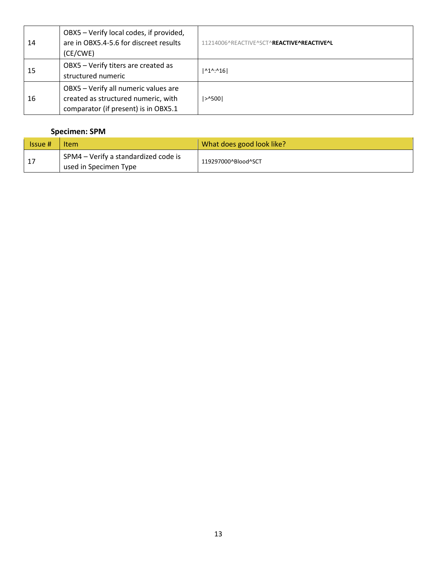| 14 | OBX5 - Verify local codes, if provided,<br>are in OBX5.4-5.6 for discreet results<br>(CE/CWE)                       | 11214006^REACTIVE^SCT^REACTIVE^REACTIVE^L |
|----|---------------------------------------------------------------------------------------------------------------------|-------------------------------------------|
| 15 | OBX5 - Verify titers are created as<br>structured numeric                                                           | $ $ <sup>1</sup> <sup>(10:16)</sup>       |
| 16 | OBX5 - Verify all numeric values are<br>created as structured numeric, with<br>comparator (if present) is in OBX5.1 | $ >$ 1500                                 |

## <span id="page-13-0"></span>**Specimen: SPM**

| <b>Issue</b> # | Item                                                          | What does good look like? |
|----------------|---------------------------------------------------------------|---------------------------|
| - 17           | SPM4 – Verify a standardized code is<br>used in Specimen Type | 119297000^Blood^SCT       |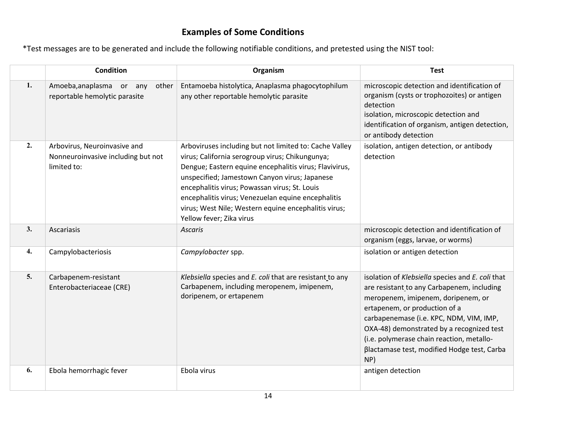## **Examples of Some Conditions**

\*Test messages are to be generated and include the following notifiable conditions, and pretested using the NIST tool:

<span id="page-14-0"></span>

|    | <b>Condition</b>                                                                  | Organism                                                                                                                                                                                                                                                                                                                                                                                                        | <b>Test</b>                                                                                                                                                                                                                                                                                                                                                      |
|----|-----------------------------------------------------------------------------------|-----------------------------------------------------------------------------------------------------------------------------------------------------------------------------------------------------------------------------------------------------------------------------------------------------------------------------------------------------------------------------------------------------------------|------------------------------------------------------------------------------------------------------------------------------------------------------------------------------------------------------------------------------------------------------------------------------------------------------------------------------------------------------------------|
| 1. | Amoeba, anaplasma or any<br>other<br>reportable hemolytic parasite                | Entamoeba histolytica, Anaplasma phagocytophilum<br>any other reportable hemolytic parasite                                                                                                                                                                                                                                                                                                                     | microscopic detection and identification of<br>organism (cysts or trophozoites) or antigen<br>detection<br>isolation, microscopic detection and<br>identification of organism, antigen detection,<br>or antibody detection                                                                                                                                       |
| 2. | Arbovirus, Neuroinvasive and<br>Nonneuroinvasive including but not<br>limited to: | Arboviruses including but not limited to: Cache Valley<br>virus; California serogroup virus; Chikungunya;<br>Dengue; Eastern equine encephalitis virus; Flavivirus,<br>unspecified; Jamestown Canyon virus; Japanese<br>encephalitis virus; Powassan virus; St. Louis<br>encephalitis virus; Venezuelan equine encephalitis<br>virus; West Nile; Western equine encephalitis virus;<br>Yellow fever; Zika virus | isolation, antigen detection, or antibody<br>detection                                                                                                                                                                                                                                                                                                           |
| 3. | Ascariasis                                                                        | <b>Ascaris</b>                                                                                                                                                                                                                                                                                                                                                                                                  | microscopic detection and identification of<br>organism (eggs, larvae, or worms)                                                                                                                                                                                                                                                                                 |
| 4. | Campylobacteriosis                                                                | Campylobacter spp.                                                                                                                                                                                                                                                                                                                                                                                              | isolation or antigen detection                                                                                                                                                                                                                                                                                                                                   |
| 5. | Carbapenem-resistant<br>Enterobacteriaceae (CRE)                                  | Klebsiella species and E. coli that are resistant to any<br>Carbapenem, including meropenem, imipenem,<br>doripenem, or ertapenem                                                                                                                                                                                                                                                                               | isolation of Klebsiella species and E. coli that<br>are resistant to any Carbapenem, including<br>meropenem, imipenem, doripenem, or<br>ertapenem, or production of a<br>carbapenemase (i.e. KPC, NDM, VIM, IMP,<br>OXA-48) demonstrated by a recognized test<br>(i.e. polymerase chain reaction, metallo-<br>Blactamase test, modified Hodge test, Carba<br>NP) |
| 6. | Ebola hemorrhagic fever                                                           | Ebola virus                                                                                                                                                                                                                                                                                                                                                                                                     | antigen detection                                                                                                                                                                                                                                                                                                                                                |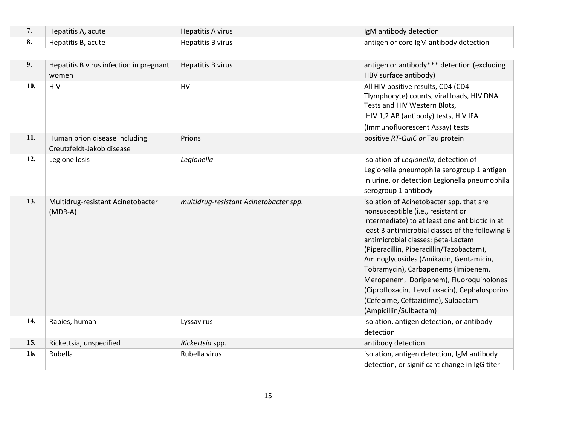| Hepatitis A, acute | <b>Hepatitis A virus</b> | IgM antibody detection                 |
|--------------------|--------------------------|----------------------------------------|
| Hepatitis B, acute | Hepatitis B virus        | antigen or core IgM antibody detection |

| 9.  | Hepatitis B virus infection in pregnant<br>women           | <b>Hepatitis B virus</b>               | antigen or antibody*** detection (excluding<br>HBV surface antibody)                                                                                                                                                                                                                                                                                                                                                                                                                                                |
|-----|------------------------------------------------------------|----------------------------------------|---------------------------------------------------------------------------------------------------------------------------------------------------------------------------------------------------------------------------------------------------------------------------------------------------------------------------------------------------------------------------------------------------------------------------------------------------------------------------------------------------------------------|
| 10. | <b>HIV</b>                                                 | HV                                     | All HIV positive results, CD4 (CD4<br>Tlymphocyte) counts, viral loads, HIV DNA<br>Tests and HIV Western Blots,<br>HIV 1,2 AB (antibody) tests, HIV IFA<br>(Immunofluorescent Assay) tests                                                                                                                                                                                                                                                                                                                          |
| 11. | Human prion disease including<br>Creutzfeldt-Jakob disease | Prions                                 | positive RT-QuIC or Tau protein                                                                                                                                                                                                                                                                                                                                                                                                                                                                                     |
| 12. | Legionellosis                                              | Legionella                             | isolation of Legionella, detection of<br>Legionella pneumophila serogroup 1 antigen<br>in urine, or detection Legionella pneumophila<br>serogroup 1 antibody                                                                                                                                                                                                                                                                                                                                                        |
| 13. | Multidrug-resistant Acinetobacter<br>$(MDR-A)$             | multidrug-resistant Acinetobacter spp. | isolation of Acinetobacter spp. that are<br>nonsusceptible (i.e., resistant or<br>intermediate) to at least one antibiotic in at<br>least 3 antimicrobial classes of the following 6<br>antimicrobial classes: Beta-Lactam<br>(Piperacillin, Piperacillin/Tazobactam),<br>Aminoglycosides (Amikacin, Gentamicin,<br>Tobramycin), Carbapenems (Imipenem,<br>Meropenem, Doripenem), Fluoroquinolones<br>(Ciprofloxacin, Levofloxacin), Cephalosporins<br>(Cefepime, Ceftazidime), Sulbactam<br>(Ampicillin/Sulbactam) |
| 14. | Rabies, human                                              | Lyssavirus                             | isolation, antigen detection, or antibody<br>detection                                                                                                                                                                                                                                                                                                                                                                                                                                                              |
| 15. | Rickettsia, unspecified                                    | Rickettsia spp.                        | antibody detection                                                                                                                                                                                                                                                                                                                                                                                                                                                                                                  |
| 16. | Rubella                                                    | Rubella virus                          | isolation, antigen detection, IgM antibody<br>detection, or significant change in IgG titer                                                                                                                                                                                                                                                                                                                                                                                                                         |